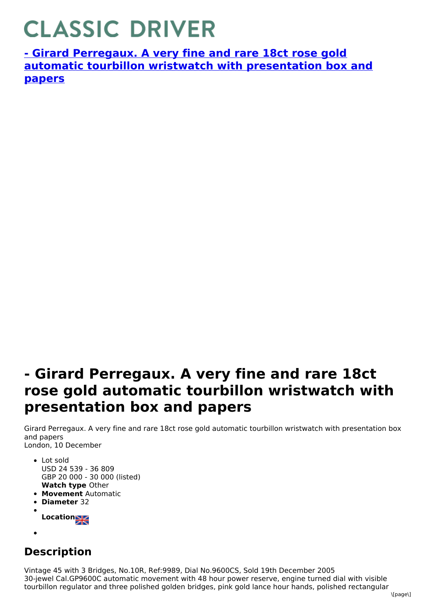## **CLASSIC DRIVER**

**- Girard Perregaux. A very fine and rare 18ct rose gold automatic tourbillon wristwatch with [presentation](https://www.classicdriver.com/en/watch/269476) box and papers**

## **- Girard Perregaux. A very fine and rare 18ct rose gold automatic tourbillon wristwatch with presentation box and papers**

Girard Perregaux. A very fine and rare 18ct rose gold automatic tourbillon wristwatch with presentation box and papers London, 10 December

- **Watch type** Other • Lot sold USD 24 539 - 36 809 GBP 20 000 - 30 000 (listed)
- **Movement** Automatic
- **Diameter** 32
- **Location**
- 

## **Description**

Vintage 45 with 3 Bridges, No.10R, Ref:9989, Dial No.9600CS, Sold 19th December 2005 30-jewel Cal.GP9600C automatic movement with 48 hour power reserve, engine turned dial with visible tourbillon regulator and three polished golden bridges, pink gold lance hour hands, polished rectangular